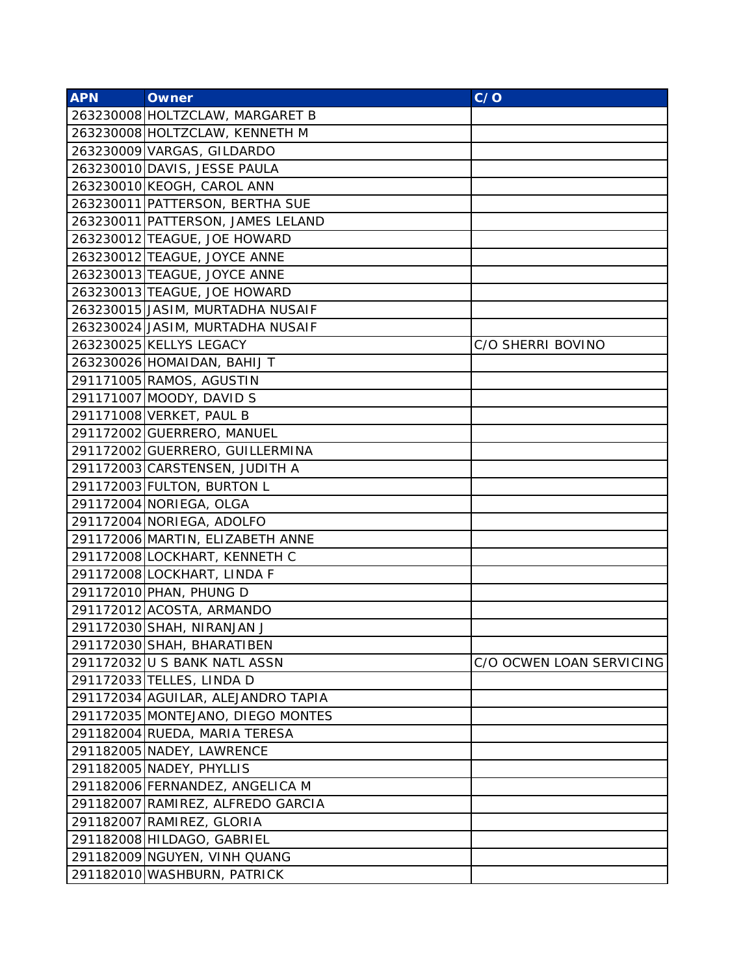| <b>APN</b> | <b>Owner</b>                       | C/O                      |
|------------|------------------------------------|--------------------------|
|            | 263230008 HOLTZCLAW, MARGARET B    |                          |
|            | 263230008 HOLTZCLAW, KENNETH M     |                          |
|            | 263230009 VARGAS, GILDARDO         |                          |
|            | 263230010 DAVIS, JESSE PAULA       |                          |
|            | 263230010 KEOGH, CAROL ANN         |                          |
|            | 263230011 PATTERSON, BERTHA SUE    |                          |
|            | 263230011 PATTERSON, JAMES LELAND  |                          |
|            | 263230012 TEAGUE, JOE HOWARD       |                          |
|            | 263230012 TEAGUE, JOYCE ANNE       |                          |
|            | 263230013 TEAGUE, JOYCE ANNE       |                          |
|            | 263230013 TEAGUE, JOE HOWARD       |                          |
|            | 263230015 JASIM, MURTADHA NUSAIF   |                          |
|            | 263230024 JASIM, MURTADHA NUSAIF   |                          |
|            | 263230025 KELLYS LEGACY            | C/O SHERRI BOVINO        |
|            | 263230026 HOMAIDAN, BAHIJ T        |                          |
|            | 291171005 RAMOS, AGUSTIN           |                          |
|            | 291171007 MOODY, DAVID S           |                          |
|            | 291171008 VERKET, PAUL B           |                          |
|            | 291172002 GUERRERO, MANUEL         |                          |
|            | 291172002 GUERRERO, GUILLERMINA    |                          |
|            | 291172003 CARSTENSEN, JUDITH A     |                          |
|            | 291172003 FULTON, BURTON L         |                          |
|            | 291172004 NORIEGA, OLGA            |                          |
|            | 291172004 NORIEGA, ADOLFO          |                          |
|            | 291172006 MARTIN, ELIZABETH ANNE   |                          |
|            | 291172008 LOCKHART, KENNETH C      |                          |
|            | 291172008 LOCKHART, LINDA F        |                          |
|            | 291172010 PHAN, PHUNG D            |                          |
|            | 291172012 ACOSTA, ARMANDO          |                          |
|            | 291172030 SHAH, NIRANJAN J         |                          |
|            | 291172030 SHAH, BHARATIBEN         |                          |
|            | 291172032 U S BANK NATL ASSN       | C/O OCWEN LOAN SERVICING |
|            | 291172033 TELLES, LINDA D          |                          |
|            | 291172034 AGUILAR, ALEJANDRO TAPIA |                          |
|            | 291172035 MONTEJANO, DIEGO MONTES  |                          |
|            | 291182004 RUEDA, MARIA TERESA      |                          |
|            | 291182005 NADEY, LAWRENCE          |                          |
|            | 291182005 NADEY, PHYLLIS           |                          |
|            | 291182006 FERNANDEZ, ANGELICA M    |                          |
|            | 291182007 RAMIREZ, ALFREDO GARCIA  |                          |
|            | 291182007 RAMIREZ, GLORIA          |                          |
|            | 291182008 HILDAGO, GABRIEL         |                          |
|            | 291182009 NGUYEN, VINH QUANG       |                          |
|            | 291182010 WASHBURN, PATRICK        |                          |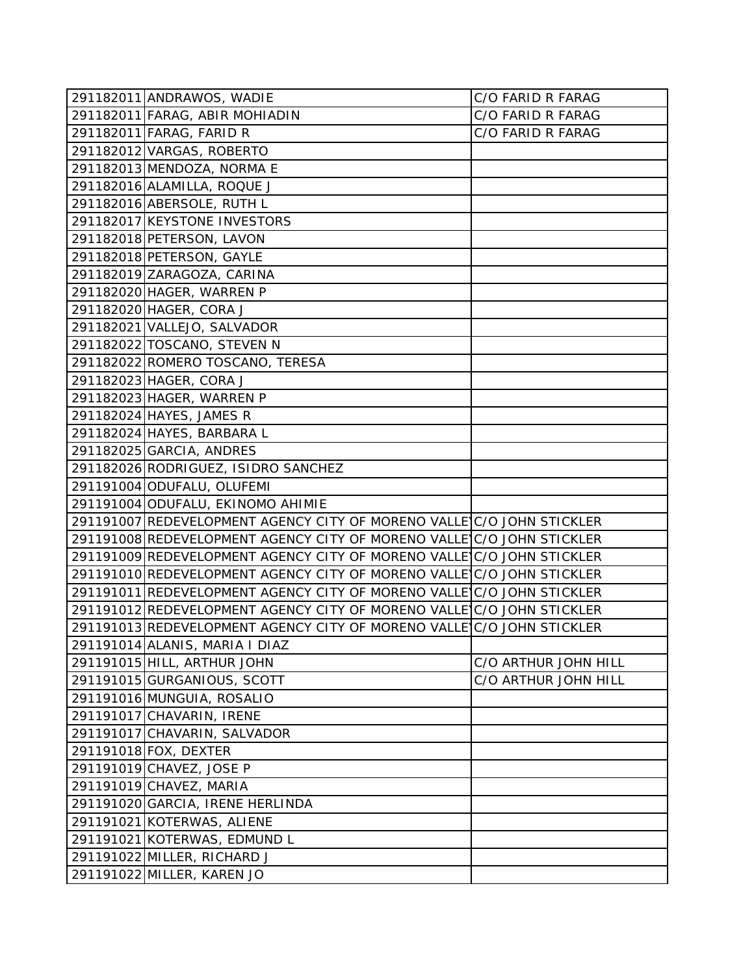| 291182011 ANDRAWOS, WADIE                                             | C/O FARID R FARAG    |
|-----------------------------------------------------------------------|----------------------|
| 291182011 FARAG, ABIR MOHIADIN                                        | C/O FARID R FARAG    |
| 291182011 FARAG, FARID R                                              | C/O FARID R FARAG    |
| 291182012 VARGAS, ROBERTO                                             |                      |
| 291182013 MENDOZA, NORMA E                                            |                      |
| 291182016 ALAMILLA, ROQUE J                                           |                      |
| 291182016 ABERSOLE, RUTH L                                            |                      |
| 291182017 KEYSTONE INVESTORS                                          |                      |
| 291182018 PETERSON, LAVON                                             |                      |
| 291182018 PETERSON, GAYLE                                             |                      |
| 291182019 ZARAGOZA, CARINA                                            |                      |
| 291182020 HAGER, WARREN P                                             |                      |
| 291182020 HAGER, CORA J                                               |                      |
| 291182021 VALLEJO, SALVADOR                                           |                      |
| 291182022 TOSCANO, STEVEN N                                           |                      |
| 291182022 ROMERO TOSCANO, TERESA                                      |                      |
| 291182023 HAGER, CORA J                                               |                      |
| 291182023 HAGER, WARREN P                                             |                      |
| 291182024 HAYES, JAMES R                                              |                      |
| 291182024 HAYES, BARBARA L                                            |                      |
| 291182025 GARCIA, ANDRES                                              |                      |
| 291182026 RODRIGUEZ, ISIDRO SANCHEZ                                   |                      |
| 291191004 ODUFALU, OLUFEMI                                            |                      |
| 291191004 ODUFALU, EKINOMO AHIMIE                                     |                      |
| 291191007 REDEVELOPMENT AGENCY CITY OF MORENO VALLE C/O JOHN STICKLER |                      |
| 291191008 REDEVELOPMENT AGENCY CITY OF MORENO VALLE C/O JOHN STICKLER |                      |
| 291191009 REDEVELOPMENT AGENCY CITY OF MORENO VALLE C/O JOHN STICKLER |                      |
| 291191010 REDEVELOPMENT AGENCY CITY OF MORENO VALLE C/O JOHN STICKLER |                      |
| 291191011 REDEVELOPMENT AGENCY CITY OF MORENO VALLE C/O JOHN STICKLER |                      |
| 291191012 REDEVELOPMENT AGENCY CITY OF MORENO VALLE C/O JOHN STICKLER |                      |
| 291191013 REDEVELOPMENT AGENCY CITY OF MORENO VALLE C/O JOHN STICKLER |                      |
| 291191014 ALANIS, MARIA I DIAZ                                        |                      |
| 291191015 HILL, ARTHUR JOHN                                           | C/O ARTHUR JOHN HILL |
| 291191015 GURGANIOUS, SCOTT                                           | C/O ARTHUR JOHN HILL |
| 291191016 MUNGUIA, ROSALIO                                            |                      |
| 291191017 CHAVARIN, IRENE                                             |                      |
| 291191017 CHAVARIN, SALVADOR                                          |                      |
| 291191018 FOX, DEXTER                                                 |                      |
| 291191019 CHAVEZ, JOSE P                                              |                      |
| 291191019 CHAVEZ, MARIA                                               |                      |
| 291191020 GARCIA, IRENE HERLINDA                                      |                      |
| 291191021 KOTERWAS, ALIENE                                            |                      |
| 291191021 KOTERWAS, EDMUND L                                          |                      |
| 291191022 MILLER, RICHARD J                                           |                      |
| 291191022 MILLER, KAREN JO                                            |                      |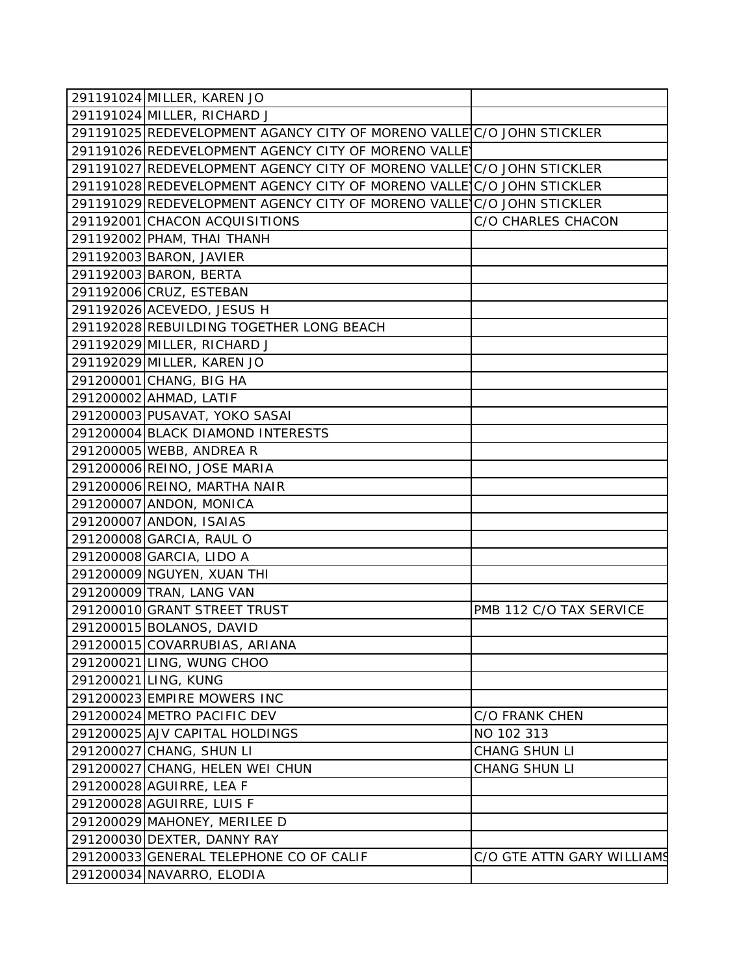| 291191024 MILLER, KAREN JO                                            |                            |
|-----------------------------------------------------------------------|----------------------------|
| 291191024 MILLER, RICHARD J                                           |                            |
| 291191025 REDEVELOPMENT AGANCY CITY OF MORENO VALLEIC/O JOHN STICKLER |                            |
| 291191026 REDEVELOPMENT AGENCY CITY OF MORENO VALLEY                  |                            |
| 291191027 REDEVELOPMENT AGENCY CITY OF MORENO VALLE C/O JOHN STICKLER |                            |
| 291191028 REDEVELOPMENT AGENCY CITY OF MORENO VALLE C/O JOHN STICKLER |                            |
| 291191029 REDEVELOPMENT AGENCY CITY OF MORENO VALLE C/O JOHN STICKLER |                            |
| 291192001 CHACON ACQUISITIONS                                         | <b>C/O CHARLES CHACON</b>  |
| 291192002 PHAM, THAI THANH                                            |                            |
| 291192003 BARON, JAVIER                                               |                            |
| 291192003 BARON, BERTA                                                |                            |
| 291192006 CRUZ, ESTEBAN                                               |                            |
| 291192026 ACEVEDO, JESUS H                                            |                            |
| 291192028 REBUILDING TOGETHER LONG BEACH                              |                            |
| 291192029 MILLER, RICHARD J                                           |                            |
| 291192029 MILLER, KAREN JO                                            |                            |
| 291200001 CHANG, BIG HA                                               |                            |
| 291200002 AHMAD, LATIF                                                |                            |
| 291200003 PUSAVAT, YOKO SASAI                                         |                            |
| 291200004 BLACK DIAMOND INTERESTS                                     |                            |
| 291200005 WEBB, ANDREA R                                              |                            |
| 291200006 REINO, JOSE MARIA                                           |                            |
| 291200006 REINO, MARTHA NAIR                                          |                            |
| 291200007 ANDON, MONICA                                               |                            |
| 291200007 ANDON, ISAIAS                                               |                            |
| 291200008 GARCIA, RAUL O                                              |                            |
| 291200008 GARCIA, LIDO A                                              |                            |
| 291200009 NGUYEN, XUAN THI                                            |                            |
| 291200009 TRAN, LANG VAN                                              |                            |
| 291200010 GRANT STREET TRUST                                          | PMB 112 C/O TAX SERVICE    |
| 291200015 BOLANOS, DAVID                                              |                            |
| 291200015 COVARRUBIAS, ARIANA                                         |                            |
| 291200021 LING, WUNG CHOO                                             |                            |
| 291200021 LING, KUNG                                                  |                            |
| 291200023 EMPIRE MOWERS INC                                           |                            |
| 291200024 METRO PACIFIC DEV                                           | <b>C/O FRANK CHEN</b>      |
| 291200025 AJV CAPITAL HOLDINGS                                        | NO 102 313                 |
| 291200027 CHANG, SHUN LI                                              | CHANG SHUN LI              |
| 291200027 CHANG, HELEN WEI CHUN                                       | CHANG SHUN LI              |
| 291200028 AGUIRRE, LEA F                                              |                            |
| 291200028 AGUIRRE, LUIS F                                             |                            |
| 291200029 MAHONEY, MERILEE D                                          |                            |
| 291200030 DEXTER, DANNY RAY                                           |                            |
| 291200033 GENERAL TELEPHONE CO OF CALIF                               | C/O GTE ATTN GARY WILLIAMS |
| 291200034 NAVARRO, ELODIA                                             |                            |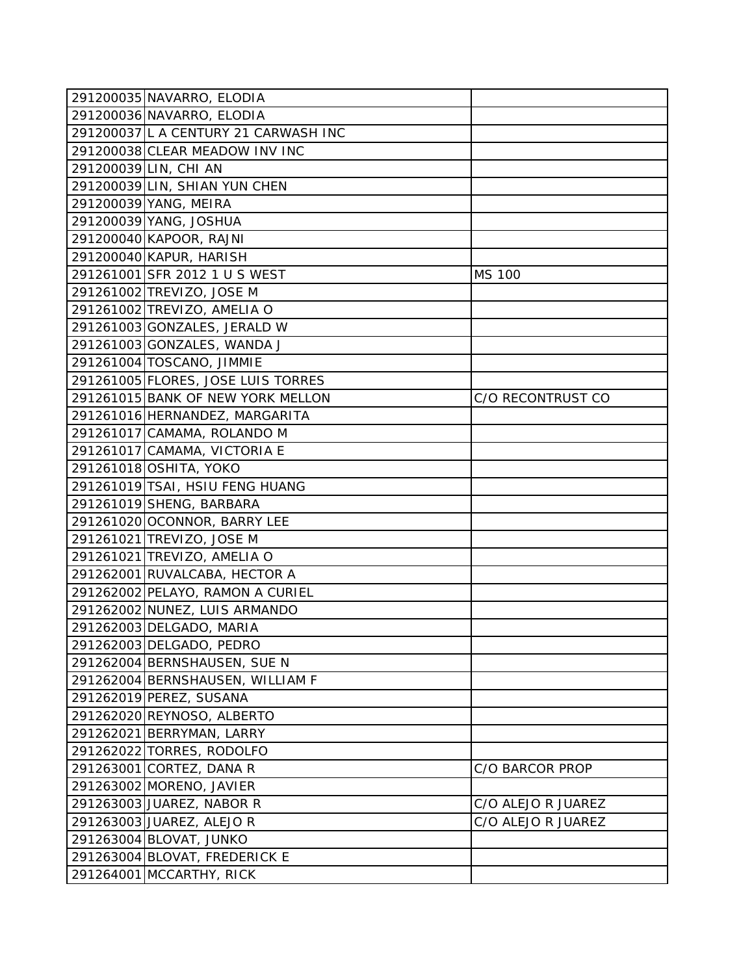| 291200035 NAVARRO, ELODIA            |                    |
|--------------------------------------|--------------------|
| 291200036 NAVARRO, ELODIA            |                    |
| 291200037 L A CENTURY 21 CARWASH INC |                    |
| 291200038 CLEAR MEADOW INV INC       |                    |
| 291200039 LIN, CHI AN                |                    |
| 291200039 LIN, SHIAN YUN CHEN        |                    |
| 291200039 YANG, MEIRA                |                    |
| 291200039 YANG, JOSHUA               |                    |
| 291200040 KAPOOR, RAJNI              |                    |
| 291200040 KAPUR, HARISH              |                    |
| 291261001 SFR 2012 1 U S WEST        | MS 100             |
| 291261002 TREVIZO, JOSE M            |                    |
| 291261002 TREVIZO, AMELIA O          |                    |
| 291261003 GONZALES, JERALD W         |                    |
| 291261003 GONZALES, WANDA J          |                    |
| 291261004 TOSCANO, JIMMIE            |                    |
| 291261005 FLORES, JOSE LUIS TORRES   |                    |
| 291261015 BANK OF NEW YORK MELLON    | C/O RECONTRUST CO  |
| 291261016 HERNANDEZ, MARGARITA       |                    |
| 291261017 CAMAMA, ROLANDO M          |                    |
| 291261017 CAMAMA, VICTORIA E         |                    |
| 291261018 OSHITA, YOKO               |                    |
| 291261019 TSAI, HSIU FENG HUANG      |                    |
| 291261019 SHENG, BARBARA             |                    |
| 291261020 OCONNOR, BARRY LEE         |                    |
| 291261021 TREVIZO, JOSE M            |                    |
| 291261021 TREVIZO, AMELIA O          |                    |
| 291262001 RUVALCABA, HECTOR A        |                    |
| 291262002 PELAYO, RAMON A CURIEL     |                    |
| 291262002 NUNEZ, LUIS ARMANDO        |                    |
| 291262003 DELGADO, MARIA             |                    |
| 291262003 DELGADO, PEDRO             |                    |
| 291262004 BERNSHAUSEN, SUE N         |                    |
| 291262004 BERNSHAUSEN, WILLIAM F     |                    |
| 291262019 PEREZ, SUSANA              |                    |
| 291262020 REYNOSO, ALBERTO           |                    |
| 291262021 BERRYMAN, LARRY            |                    |
| 291262022 TORRES, RODOLFO            |                    |
| 291263001 CORTEZ, DANA R             | C/O BARCOR PROP    |
| 291263002 MORENO, JAVIER             |                    |
| 291263003 JUAREZ, NABOR R            | C/O ALEJO R JUAREZ |
| 291263003 JUAREZ, ALEJO R            | C/O ALEJO R JUAREZ |
| 291263004 BLOVAT, JUNKO              |                    |
| 291263004 BLOVAT, FREDERICK E        |                    |
| 291264001 MCCARTHY, RICK             |                    |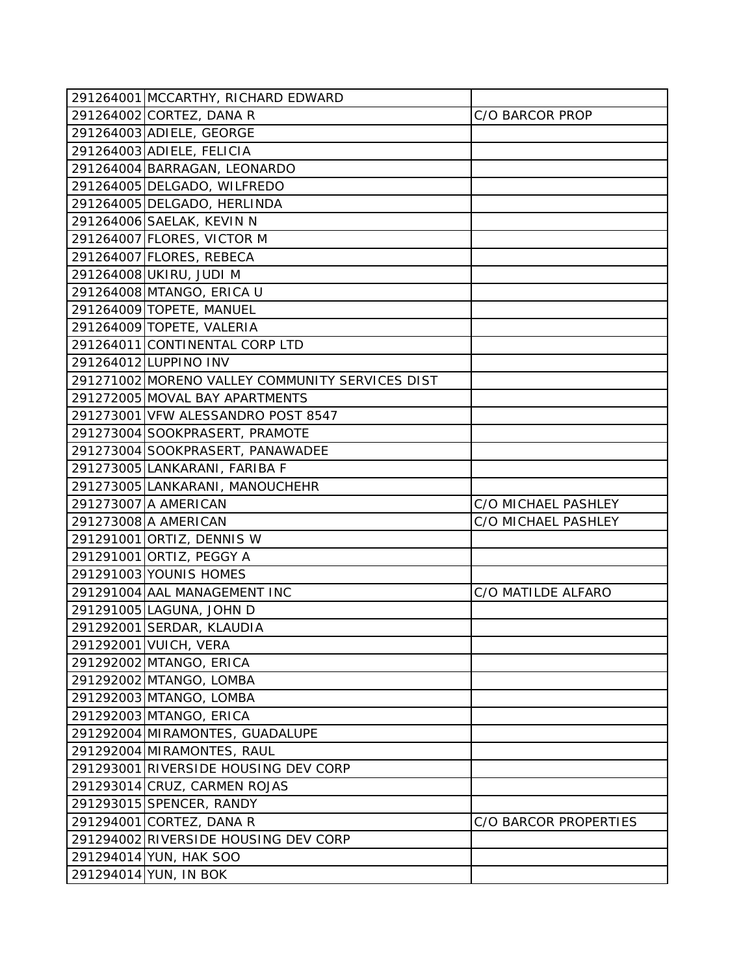| 291264001 MCCARTHY, RICHARD EDWARD              |                       |
|-------------------------------------------------|-----------------------|
| 291264002 CORTEZ, DANA R                        | C/O BARCOR PROP       |
| 291264003 ADIELE, GEORGE                        |                       |
| 291264003 ADIELE, FELICIA                       |                       |
| 291264004 BARRAGAN, LEONARDO                    |                       |
| 291264005 DELGADO, WILFREDO                     |                       |
| 291264005 DELGADO, HERLINDA                     |                       |
| 291264006 SAELAK, KEVIN N                       |                       |
| 291264007 FLORES, VICTOR M                      |                       |
| 291264007 FLORES, REBECA                        |                       |
| 291264008 UKIRU, JUDI M                         |                       |
| 291264008 MTANGO, ERICA U                       |                       |
| 291264009 TOPETE, MANUEL                        |                       |
| 291264009 TOPETE, VALERIA                       |                       |
| 291264011 CONTINENTAL CORP LTD                  |                       |
| 291264012 LUPPINO INV                           |                       |
| 291271002 MORENO VALLEY COMMUNITY SERVICES DIST |                       |
| 291272005 MOVAL BAY APARTMENTS                  |                       |
| 291273001 VFW ALESSANDRO POST 8547              |                       |
| 291273004 SOOKPRASERT, PRAMOTE                  |                       |
| 291273004 SOOKPRASERT, PANAWADEE                |                       |
| 291273005 LANKARANI, FARIBA F                   |                       |
| 291273005 LANKARANI, MANOUCHEHR                 |                       |
| 291273007 A AMERICAN                            | C/O MICHAEL PASHLEY   |
| 291273008 A AMERICAN                            | C/O MICHAEL PASHLEY   |
| 291291001 ORTIZ, DENNIS W                       |                       |
| 291291001 ORTIZ, PEGGY A                        |                       |
| 291291003 YOUNIS HOMES                          |                       |
| 291291004 AAL MANAGEMENT INC                    | C/O MATILDE ALFARO    |
| 291291005 LAGUNA, JOHN D                        |                       |
| 291292001 SERDAR, KLAUDIA                       |                       |
| 291292001 VUICH, VERA                           |                       |
| 291292002 MTANGO, ERICA                         |                       |
| 291292002 MTANGO, LOMBA                         |                       |
| 291292003 MTANGO, LOMBA                         |                       |
| 291292003 MTANGO, ERICA                         |                       |
| 291292004 MIRAMONTES, GUADALUPE                 |                       |
| 291292004 MIRAMONTES, RAUL                      |                       |
| 291293001 RIVERSIDE HOUSING DEV CORP            |                       |
| 291293014 CRUZ, CARMEN ROJAS                    |                       |
| 291293015 SPENCER, RANDY                        |                       |
| 291294001 CORTEZ, DANA R                        | C/O BARCOR PROPERTIES |
| 291294002 RIVERSIDE HOUSING DEV CORP            |                       |
| 291294014 YUN, HAK SOO                          |                       |
| 291294014 YUN, IN BOK                           |                       |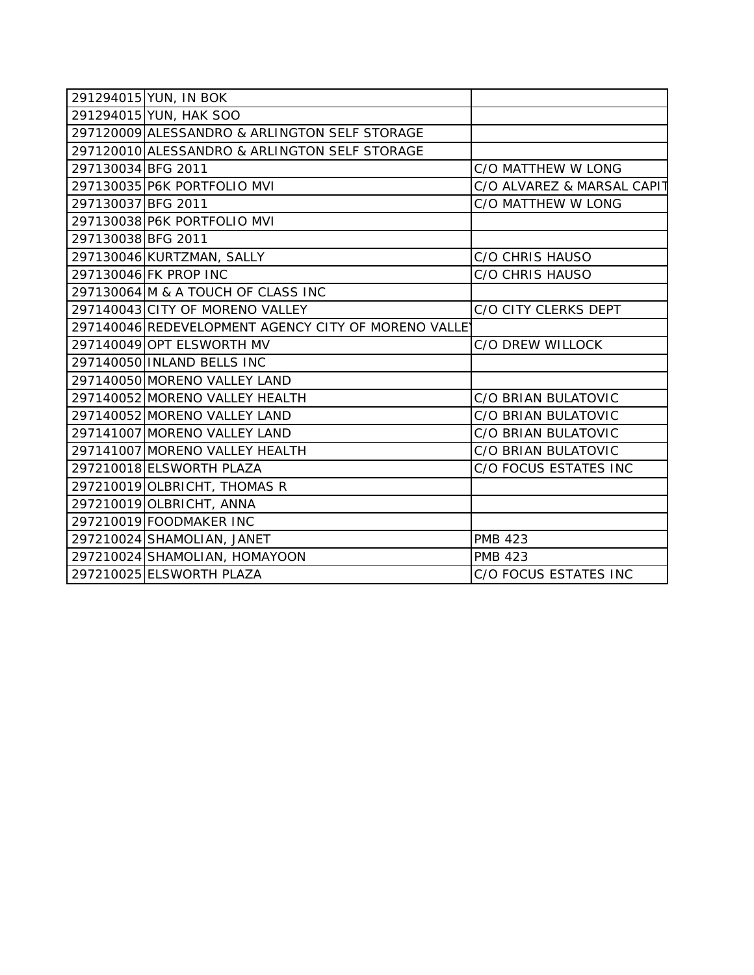|                    | 291294015 YUN, IN BOK                                |                            |
|--------------------|------------------------------------------------------|----------------------------|
|                    | 291294015 YUN, HAK SOO                               |                            |
|                    | 297120009 ALESSANDRO & ARLINGTON SELF STORAGE        |                            |
|                    | 297120010 ALESSANDRO & ARLINGTON SELF STORAGE        |                            |
| 297130034 BFG 2011 |                                                      | C/O MATTHEW W LONG         |
|                    | 297130035 P6K PORTFOLIO MVI                          | C/O ALVAREZ & MARSAL CAPIT |
| 297130037 BFG 2011 |                                                      | C/O MATTHEW W LONG         |
|                    | 297130038 P6K PORTFOLIO MVI                          |                            |
| 297130038 BFG 2011 |                                                      |                            |
|                    | 297130046 KURTZMAN, SALLY                            | <b>C/O CHRIS HAUSO</b>     |
|                    | 297130046 FK PROP INC                                | C/O CHRIS HAUSO            |
|                    | 297130064 M & A TOUCH OF CLASS INC                   |                            |
|                    | 297140043 CITY OF MORENO VALLEY                      | C/O CITY CLERKS DEPT       |
|                    | 297140046 REDEVELOPMENT AGENCY CITY OF MORENO VALLEY |                            |
|                    | 297140049 OPT ELSWORTH MV                            | C/O DREW WILLOCK           |
|                    | 297140050 INLAND BELLS INC                           |                            |
|                    | 297140050 MORENO VALLEY LAND                         |                            |
|                    | 297140052 MORENO VALLEY HEALTH                       | C/O BRIAN BULATOVIC        |
|                    | 297140052 MORENO VALLEY LAND                         | C/O BRIAN BULATOVIC        |
|                    | 297141007 MORENO VALLEY LAND                         | C/O BRIAN BULATOVIC        |
|                    | 297141007 MORENO VALLEY HEALTH                       | C/O BRIAN BULATOVIC        |
|                    | 297210018 ELSWORTH PLAZA                             | C/O FOCUS ESTATES INC      |
|                    | 297210019 OLBRICHT, THOMAS R                         |                            |
|                    | 297210019 OLBRICHT, ANNA                             |                            |
|                    | 297210019 FOODMAKER INC                              |                            |
|                    | 297210024 SHAMOLIAN, JANET                           | <b>PMB 423</b>             |
|                    | 297210024 SHAMOLIAN, HOMAYOON                        | <b>PMB 423</b>             |
|                    | 297210025 ELSWORTH PLAZA                             | C/O FOCUS ESTATES INC      |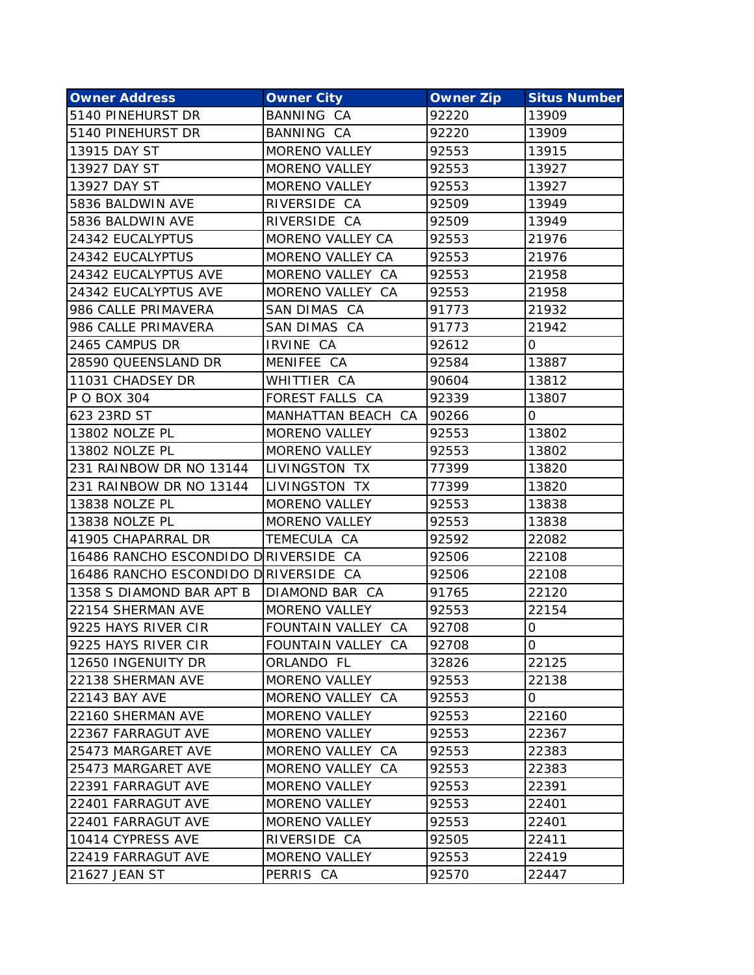| <b>Owner Address</b>                 | <b>Owner City</b>    | <b>Owner Zip</b> | <b>Situs Number</b> |
|--------------------------------------|----------------------|------------------|---------------------|
| 5140 PINEHURST DR                    | <b>BANNING CA</b>    | 92220            | 13909               |
| 5140 PINEHURST DR                    | BANNING CA           | 92220            | 13909               |
| 13915 DAY ST                         | <b>MORENO VALLEY</b> | 92553            | 13915               |
| 13927 DAY ST                         | <b>MORENO VALLEY</b> | 92553            | 13927               |
| 13927 DAY ST                         | MORENO VALLEY        | 92553            | 13927               |
| 5836 BALDWIN AVE                     | RIVERSIDE CA         | 92509            | 13949               |
| 5836 BALDWIN AVE                     | RIVERSIDE CA         | 92509            | 13949               |
| 24342 EUCALYPTUS                     | MORENO VALLEY CA     | 92553            | 21976               |
| 24342 EUCALYPTUS                     | MORENO VALLEY CA     | 92553            | 21976               |
| 24342 EUCALYPTUS AVE                 | MORENO VALLEY CA     | 92553            | 21958               |
| 24342 EUCALYPTUS AVE                 | MORENO VALLEY CA     | 92553            | 21958               |
| 986 CALLE PRIMAVERA                  | SAN DIMAS CA         | 91773            | 21932               |
| 986 CALLE PRIMAVERA                  | SAN DIMAS CA         | 91773            | 21942               |
| 2465 CAMPUS DR                       | IRVINE CA            | 92612            | 0                   |
| 28590 QUEENSLAND DR                  | MENIFEE CA           | 92584            | 13887               |
| 11031 CHADSEY DR                     | WHITTIER CA          | 90604            | 13812               |
| P O BOX 304                          | FOREST FALLS CA      | 92339            | 13807               |
| 623 23RD ST                          | MANHATTAN BEACH CA   | 90266            | 0                   |
| 13802 NOLZE PL                       | MORENO VALLEY        | 92553            | 13802               |
| 13802 NOLZE PL                       | <b>MORENO VALLEY</b> | 92553            | 13802               |
| 231 RAINBOW DR NO 13144              | LIVINGSTON TX        | 77399            | 13820               |
| 231 RAINBOW DR NO 13144              | LIVINGSTON TX        | 77399            | 13820               |
| 13838 NOLZE PL                       | <b>MORENO VALLEY</b> | 92553            | 13838               |
| 13838 NOLZE PL                       | <b>MORENO VALLEY</b> | 92553            | 13838               |
| 41905 CHAPARRAL DR                   | TEMECULA CA          | 92592            | 22082               |
| 16486 RANCHO ESCONDIDO DRIVERSIDE CA |                      | 92506            | 22108               |
| 16486 RANCHO ESCONDIDO DRIVERSIDE CA |                      | 92506            | 22108               |
| 1358 S DIAMOND BAR APT B             | DIAMOND BAR CA       | 91765            | 22120               |
| 22154 SHERMAN AVE                    | MORENO VALLEY        | 92553            | 22154               |
| 9225 HAYS RIVER CIR                  | FOUNTAIN VALLEY CA   | 92708            | 0                   |
| 9225 HAYS RIVER CIR                  | FOUNTAIN VALLEY CA   | 92708            | O                   |
| 12650 INGENUITY DR                   | ORLANDO FL           | 32826            | 22125               |
| 22138 SHERMAN AVE                    | <b>MORENO VALLEY</b> | 92553            | 22138               |
| <b>22143 BAY AVE</b>                 | MORENO VALLEY CA     | 92553            | 0                   |
| 22160 SHERMAN AVE                    | <b>MORENO VALLEY</b> | 92553            | 22160               |
| 22367 FARRAGUT AVE                   | MORENO VALLEY        | 92553            | 22367               |
| 25473 MARGARET AVE                   | MORENO VALLEY CA     | 92553            | 22383               |
| 25473 MARGARET AVE                   | MORENO VALLEY CA     | 92553            | 22383               |
| 22391 FARRAGUT AVE                   | <b>MORENO VALLEY</b> | 92553            | 22391               |
| 22401 FARRAGUT AVE                   | MORENO VALLEY        | 92553            | 22401               |
| 22401 FARRAGUT AVE                   | <b>MORENO VALLEY</b> | 92553            | 22401               |
| 10414 CYPRESS AVE                    | RIVERSIDE CA         | 92505            | 22411               |
| 22419 FARRAGUT AVE                   | MORENO VALLEY        | 92553            | 22419               |
| 21627 JEAN ST                        | PERRIS CA            | 92570            | 22447               |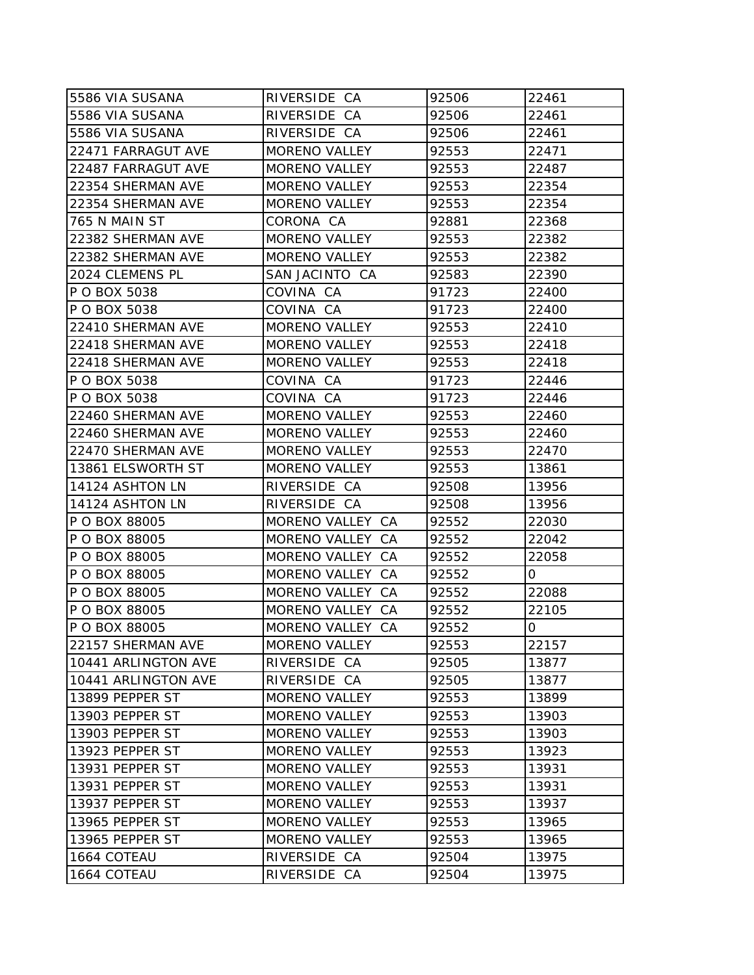| 5586 VIA SUSANA     | RIVERSIDE CA         | 92506 | 22461 |
|---------------------|----------------------|-------|-------|
| 5586 VIA SUSANA     | RIVERSIDE CA         | 92506 | 22461 |
| 5586 VIA SUSANA     | RIVERSIDE CA         | 92506 | 22461 |
| 22471 FARRAGUT AVE  | <b>MORENO VALLEY</b> | 92553 | 22471 |
| 22487 FARRAGUT AVE  | <b>MORENO VALLEY</b> | 92553 | 22487 |
| 22354 SHERMAN AVE   | <b>MORENO VALLEY</b> | 92553 | 22354 |
| 22354 SHERMAN AVE   | MORENO VALLEY        | 92553 | 22354 |
| 765 N MAIN ST       | CORONA CA            | 92881 | 22368 |
| 22382 SHERMAN AVE   | <b>MORENO VALLEY</b> | 92553 | 22382 |
| 22382 SHERMAN AVE   | <b>MORENO VALLEY</b> | 92553 | 22382 |
| 2024 CLEMENS PL     | SAN JACINTO CA       | 92583 | 22390 |
| P O BOX 5038        | COVINA CA            | 91723 | 22400 |
| P O BOX 5038        | COVINA CA            | 91723 | 22400 |
| 22410 SHERMAN AVE   | <b>MORENO VALLEY</b> | 92553 | 22410 |
| 22418 SHERMAN AVE   | <b>MORENO VALLEY</b> | 92553 | 22418 |
| 22418 SHERMAN AVE   | <b>MORENO VALLEY</b> | 92553 | 22418 |
| P O BOX 5038        | COVINA CA            | 91723 | 22446 |
| P O BOX 5038        | COVINA CA            | 91723 | 22446 |
| 22460 SHERMAN AVE   | <b>MORENO VALLEY</b> | 92553 | 22460 |
| 22460 SHERMAN AVE   | MORENO VALLEY        | 92553 | 22460 |
| 22470 SHERMAN AVE   | <b>MORENO VALLEY</b> | 92553 | 22470 |
| 13861 ELSWORTH ST   | <b>MORENO VALLEY</b> | 92553 | 13861 |
| 14124 ASHTON LN     | RIVERSIDE CA         | 92508 | 13956 |
| 14124 ASHTON LN     | RIVERSIDE CA         | 92508 | 13956 |
| P O BOX 88005       | MORENO VALLEY CA     | 92552 | 22030 |
| P O BOX 88005       | MORENO VALLEY CA     | 92552 | 22042 |
| P O BOX 88005       | MORENO VALLEY CA     | 92552 | 22058 |
| P O BOX 88005       | MORENO VALLEY CA     | 92552 | 0     |
| P O BOX 88005       | MORENO VALLEY CA     | 92552 | 22088 |
| P O BOX 88005       | MORENO VALLEY CA     | 92552 | 22105 |
| P O BOX 88005       | MORENO VALLEY CA     | 92552 | 0     |
| 22157 SHERMAN AVE   | MORENO VALLEY        | 92553 | 22157 |
| 10441 ARLINGTON AVE | RIVERSIDE CA         | 92505 | 13877 |
| 10441 ARLINGTON AVE | RIVERSIDE CA         | 92505 | 13877 |
| 13899 PEPPER ST     | <b>MORENO VALLEY</b> | 92553 | 13899 |
| 13903 PEPPER ST     | <b>MORENO VALLEY</b> | 92553 | 13903 |
| 13903 PEPPER ST     | <b>MORENO VALLEY</b> | 92553 | 13903 |
| 13923 PEPPER ST     | <b>MORENO VALLEY</b> | 92553 | 13923 |
| 13931 PEPPER ST     | <b>MORENO VALLEY</b> | 92553 | 13931 |
| 13931 PEPPER ST     | <b>MORENO VALLEY</b> | 92553 | 13931 |
| 13937 PEPPER ST     | <b>MORENO VALLEY</b> | 92553 | 13937 |
| 13965 PEPPER ST     | <b>MORENO VALLEY</b> | 92553 | 13965 |
| 13965 PEPPER ST     | MORENO VALLEY        | 92553 | 13965 |
| 1664 COTEAU         | RIVERSIDE CA         | 92504 | 13975 |
| 1664 COTEAU         | RIVERSIDE CA         | 92504 | 13975 |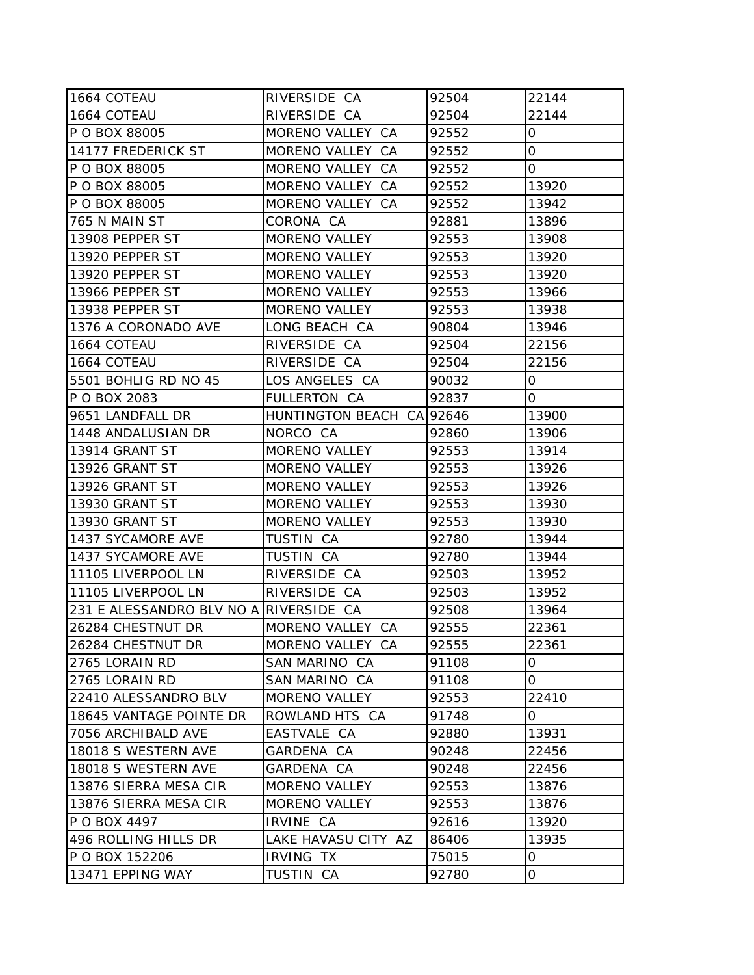| 1664 COTEAU                            | RIVERSIDE CA              | 92504 | 22144        |
|----------------------------------------|---------------------------|-------|--------------|
| 1664 COTEAU                            | RIVERSIDE CA              | 92504 | 22144        |
| P O BOX 88005                          | MORENO VALLEY CA          | 92552 | $\mathsf{O}$ |
| 14177 FREDERICK ST                     | MORENO VALLEY CA          | 92552 | $\mathbf 0$  |
| P O BOX 88005                          | MORENO VALLEY CA          | 92552 | $\mathsf{O}$ |
| P O BOX 88005                          | MORENO VALLEY CA          | 92552 | 13920        |
| P O BOX 88005                          | MORENO VALLEY CA          | 92552 | 13942        |
| 765 N MAIN ST                          | CORONA CA                 | 92881 | 13896        |
| 13908 PEPPER ST                        | <b>MORENO VALLEY</b>      | 92553 | 13908        |
| 13920 PEPPER ST                        | <b>MORENO VALLEY</b>      | 92553 | 13920        |
| 13920 PEPPER ST                        | <b>MORENO VALLEY</b>      | 92553 | 13920        |
| 13966 PEPPER ST                        | MORENO VALLEY             | 92553 | 13966        |
| 13938 PEPPER ST                        | <b>MORENO VALLEY</b>      | 92553 | 13938        |
| 1376 A CORONADO AVE                    | LONG BEACH CA             | 90804 | 13946        |
| 1664 COTEAU                            | RIVERSIDE CA              | 92504 | 22156        |
| 1664 COTEAU                            | RIVERSIDE CA              | 92504 | 22156        |
| 5501 BOHLIG RD NO 45                   | LOS ANGELES CA            | 90032 | 0            |
| P O BOX 2083                           | <b>FULLERTON CA</b>       | 92837 | $\mathsf{O}$ |
| 9651 LANDFALL DR                       | HUNTINGTON BEACH CA 92646 |       | 13900        |
| 1448 ANDALUSIAN DR                     | NORCO CA                  | 92860 | 13906        |
| 13914 GRANT ST                         | <b>MORENO VALLEY</b>      | 92553 | 13914        |
| <b>13926 GRANT ST</b>                  | <b>MORENO VALLEY</b>      | 92553 | 13926        |
| 13926 GRANT ST                         | <b>MORENO VALLEY</b>      | 92553 | 13926        |
| 13930 GRANT ST                         | <b>MORENO VALLEY</b>      | 92553 | 13930        |
| <b>13930 GRANT ST</b>                  | <b>MORENO VALLEY</b>      | 92553 | 13930        |
| 1437 SYCAMORE AVE                      | TUSTIN CA                 | 92780 | 13944        |
| 1437 SYCAMORE AVE                      | TUSTIN CA                 | 92780 | 13944        |
| 11105 LIVERPOOL LN                     | RIVERSIDE CA              | 92503 | 13952        |
| 11105 LIVERPOOL LN                     | RIVERSIDE CA              | 92503 | 13952        |
| 231 E ALESSANDRO BLV NO A RIVERSIDE CA |                           | 92508 | 13964        |
| 26284 CHESTNUT DR                      | MORENO VALLEY CA          | 92555 | 22361        |
| 26284 CHESTNUT DR                      | MORENO VALLEY CA          | 92555 | 22361        |
| 2765 LORAIN RD                         | SAN MARINO CA             | 91108 | 0            |
| 2765 LORAIN RD                         | SAN MARINO CA             | 91108 | $\mathsf{O}$ |
| 22410 ALESSANDRO BLV                   | <b>MORENO VALLEY</b>      | 92553 | 22410        |
| 18645 VANTAGE POINTE DR                | ROWLAND HTS CA            | 91748 | 0            |
| 7056 ARCHIBALD AVE                     | EASTVALE CA               | 92880 | 13931        |
| 18018 S WESTERN AVE                    | GARDENA CA                | 90248 | 22456        |
| 18018 S WESTERN AVE                    | GARDENA CA                | 90248 | 22456        |
| 13876 SIERRA MESA CIR                  | <b>MORENO VALLEY</b>      | 92553 | 13876        |
| 13876 SIERRA MESA CIR                  | <b>MORENO VALLEY</b>      | 92553 | 13876        |
| IP O BOX 4497                          | IRVINE CA                 | 92616 | 13920        |
| 496 ROLLING HILLS DR                   | LAKE HAVASU CITY AZ       | 86406 | 13935        |
| P O BOX 152206                         | <b>IRVING TX</b>          | 75015 | 0            |
| 13471 EPPING WAY                       | TUSTIN CA                 | 92780 | $\mathsf O$  |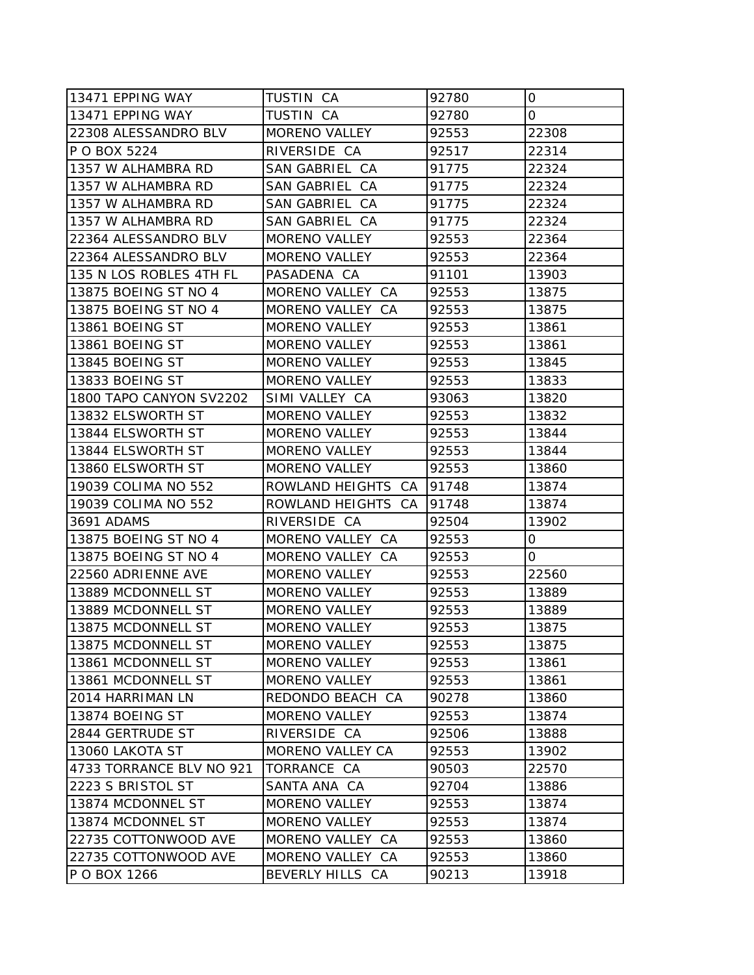| 13471 EPPING WAY         | TUSTIN CA            | 92780 | 0     |
|--------------------------|----------------------|-------|-------|
| 13471 EPPING WAY         | TUSTIN CA            | 92780 | 0     |
| 22308 ALESSANDRO BLV     | <b>MORENO VALLEY</b> | 92553 | 22308 |
| P O BOX 5224             | RIVERSIDE CA         | 92517 | 22314 |
| 1357 W ALHAMBRA RD       | SAN GABRIEL CA       | 91775 | 22324 |
| 1357 W ALHAMBRA RD       | SAN GABRIEL CA       | 91775 | 22324 |
| 1357 W ALHAMBRA RD       | SAN GABRIEL CA       | 91775 | 22324 |
| 1357 W ALHAMBRA RD       | SAN GABRIEL CA       | 91775 | 22324 |
| 22364 ALESSANDRO BLV     | <b>MORENO VALLEY</b> | 92553 | 22364 |
| 22364 ALESSANDRO BLV     | <b>MORENO VALLEY</b> | 92553 | 22364 |
| 135 N LOS ROBLES 4TH FL  | PASADENA CA          | 91101 | 13903 |
| 13875 BOEING ST NO 4     | MORENO VALLEY CA     | 92553 | 13875 |
| 13875 BOEING ST NO 4     | MORENO VALLEY CA     | 92553 | 13875 |
| 13861 BOEING ST          | <b>MORENO VALLEY</b> | 92553 | 13861 |
| 13861 BOEING ST          | <b>MORENO VALLEY</b> | 92553 | 13861 |
| 13845 BOEING ST          | <b>MORENO VALLEY</b> | 92553 | 13845 |
| 13833 BOEING ST          | <b>MORENO VALLEY</b> | 92553 | 13833 |
| 1800 TAPO CANYON SV2202  | SIMI VALLEY CA       | 93063 | 13820 |
| 13832 ELSWORTH ST        | <b>MORENO VALLEY</b> | 92553 | 13832 |
| 13844 ELSWORTH ST        | <b>MORENO VALLEY</b> | 92553 | 13844 |
| 13844 ELSWORTH ST        | <b>MORENO VALLEY</b> | 92553 | 13844 |
| 13860 ELSWORTH ST        | <b>MORENO VALLEY</b> | 92553 | 13860 |
| 19039 COLIMA NO 552      | ROWLAND HEIGHTS CA   | 91748 | 13874 |
| 19039 COLIMA NO 552      | ROWLAND HEIGHTS CA   | 91748 | 13874 |
| 3691 ADAMS               | RIVERSIDE CA         | 92504 | 13902 |
| 13875 BOEING ST NO 4     | MORENO VALLEY CA     | 92553 | 0     |
| 13875 BOEING ST NO 4     | MORENO VALLEY CA     | 92553 | 0     |
| 22560 ADRIENNE AVE       | <b>MORENO VALLEY</b> | 92553 | 22560 |
| 13889 MCDONNELL ST       | <b>MORENO VALLEY</b> | 92553 | 13889 |
| 13889 MCDONNELL ST       | <b>MORENO VALLEY</b> | 92553 | 13889 |
| 13875 MCDONNELL ST       | <b>MORENO VALLEY</b> | 92553 | 13875 |
| 13875 MCDONNELL ST       | <b>MORENO VALLEY</b> | 92553 | 13875 |
| 13861 MCDONNELL ST       | <b>MORENO VALLEY</b> | 92553 | 13861 |
| 13861 MCDONNELL ST       | <b>MORENO VALLEY</b> | 92553 | 13861 |
| 2014 HARRIMAN LN         | REDONDO BEACH CA     | 90278 | 13860 |
| 13874 BOEING ST          | <b>MORENO VALLEY</b> | 92553 | 13874 |
| 2844 GERTRUDE ST         | RIVERSIDE CA         | 92506 | 13888 |
| 13060 LAKOTA ST          | MORENO VALLEY CA     | 92553 | 13902 |
| 4733 TORRANCE BLV NO 921 | TORRANCE CA          | 90503 | 22570 |
| 2223 S BRISTOL ST        | SANTA ANA CA         | 92704 | 13886 |
| 13874 MCDONNEL ST        | <b>MORENO VALLEY</b> | 92553 | 13874 |
| 13874 MCDONNEL ST        | <b>MORENO VALLEY</b> | 92553 | 13874 |
| 22735 COTTONWOOD AVE     | MORENO VALLEY CA     | 92553 | 13860 |
| 22735 COTTONWOOD AVE     | MORENO VALLEY CA     | 92553 | 13860 |
| P O BOX 1266             | BEVERLY HILLS CA     | 90213 | 13918 |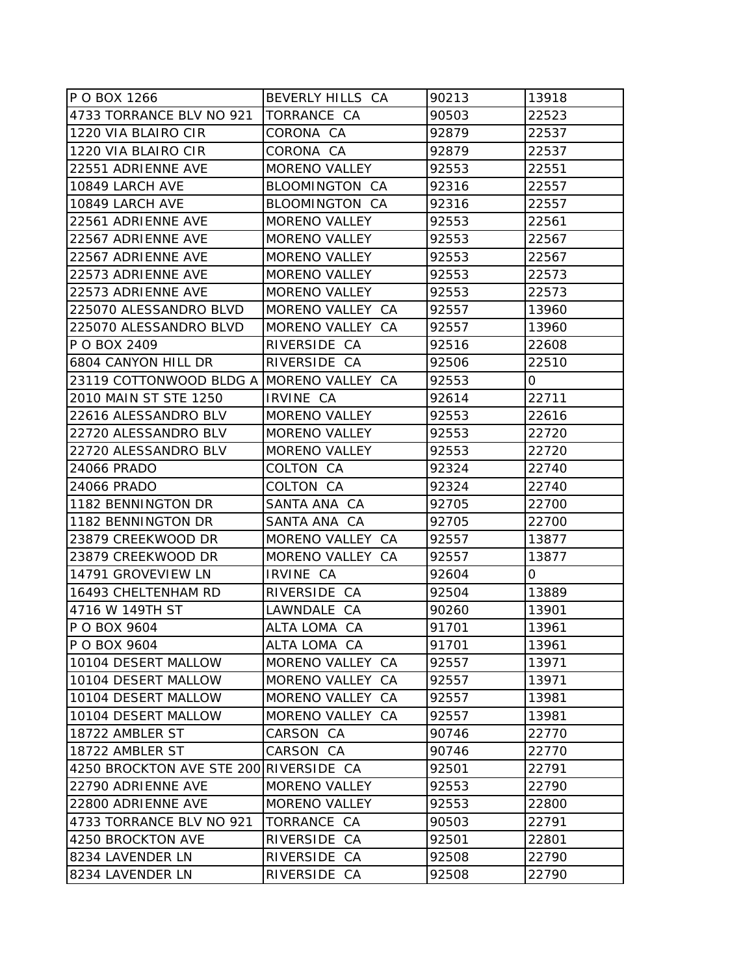| P O BOX 1266                             | BEVERLY HILLS CA     | 90213 | 13918 |
|------------------------------------------|----------------------|-------|-------|
| 4733 TORRANCE BLV NO 921                 | TORRANCE CA          | 90503 | 22523 |
| 1220 VIA BLAIRO CIR                      | CORONA CA            | 92879 | 22537 |
| 1220 VIA BLAIRO CIR                      | CORONA CA            | 92879 | 22537 |
| 22551 ADRIENNE AVE                       | <b>MORENO VALLEY</b> | 92553 | 22551 |
| 10849 LARCH AVE                          | BLOOMINGTON CA       | 92316 | 22557 |
| 10849 LARCH AVE                          | BLOOMINGTON CA       | 92316 | 22557 |
| 22561 ADRIENNE AVE                       | <b>MORENO VALLEY</b> | 92553 | 22561 |
| 22567 ADRIENNE AVE                       | <b>MORENO VALLEY</b> | 92553 | 22567 |
| 22567 ADRIENNE AVE                       | MORENO VALLEY        | 92553 | 22567 |
| 22573 ADRIENNE AVE                       | MORENO VALLEY        | 92553 | 22573 |
| 22573 ADRIENNE AVE                       | MORENO VALLEY        | 92553 | 22573 |
| 225070 ALESSANDRO BLVD                   | MORENO VALLEY CA     | 92557 | 13960 |
| 225070 ALESSANDRO BLVD                   | MORENO VALLEY CA     | 92557 | 13960 |
| P O BOX 2409                             | RIVERSIDE CA         | 92516 | 22608 |
| 6804 CANYON HILL DR                      | RIVERSIDE CA         | 92506 | 22510 |
| 23119 COTTONWOOD BLDG A MORENO VALLEY CA |                      | 92553 | 0     |
| 2010 MAIN ST STE 1250                    | IRVINE CA            | 92614 | 22711 |
| 22616 ALESSANDRO BLV                     | <b>MORENO VALLEY</b> | 92553 | 22616 |
| 22720 ALESSANDRO BLV                     | MORENO VALLEY        | 92553 | 22720 |
| 22720 ALESSANDRO BLV                     | MORENO VALLEY        | 92553 | 22720 |
| 24066 PRADO                              | COLTON CA            | 92324 | 22740 |
| 24066 PRADO                              | COLTON CA            | 92324 | 22740 |
| 1182 BENNINGTON DR                       | SANTA ANA CA         | 92705 | 22700 |
| 1182 BENNINGTON DR                       | SANTA ANA CA         | 92705 | 22700 |
| 23879 CREEKWOOD DR                       | MORENO VALLEY CA     | 92557 | 13877 |
| 23879 CREEKWOOD DR                       | MORENO VALLEY CA     | 92557 | 13877 |
| 14791 GROVEVIEW LN                       | IRVINE CA            | 92604 | 0     |
| 16493 CHELTENHAM RD                      | RIVERSIDE CA         | 92504 | 13889 |
| 4716 W 149TH ST                          | LAWNDALE CA          | 90260 | 13901 |
| P O BOX 9604                             | ALTA LOMA CA         | 91701 | 13961 |
| P O BOX 9604                             | ALTA LOMA CA         | 91701 | 13961 |
| 10104 DESERT MALLOW                      | MORENO VALLEY CA     | 92557 | 13971 |
| 10104 DESERT MALLOW                      | MORENO VALLEY CA     | 92557 | 13971 |
| 10104 DESERT MALLOW                      | MORENO VALLEY CA     | 92557 | 13981 |
| 10104 DESERT MALLOW                      | MORENO VALLEY CA     | 92557 | 13981 |
| 18722 AMBLER ST                          | CARSON CA            | 90746 | 22770 |
| 18722 AMBLER ST                          | CARSON CA            | 90746 | 22770 |
| 4250 BROCKTON AVE STE 200                | RIVERSIDE CA         | 92501 | 22791 |
| 22790 ADRIENNE AVE                       | MORENO VALLEY        | 92553 | 22790 |
| 22800 ADRIENNE AVE                       | MORENO VALLEY        | 92553 | 22800 |
| 4733 TORRANCE BLV NO 921                 | TORRANCE CA          | 90503 | 22791 |
| 4250 BROCKTON AVE                        | RIVERSIDE CA         | 92501 | 22801 |
| 8234 LAVENDER LN                         | RIVERSIDE CA         | 92508 | 22790 |
| 8234 LAVENDER LN                         | RIVERSIDE CA         | 92508 | 22790 |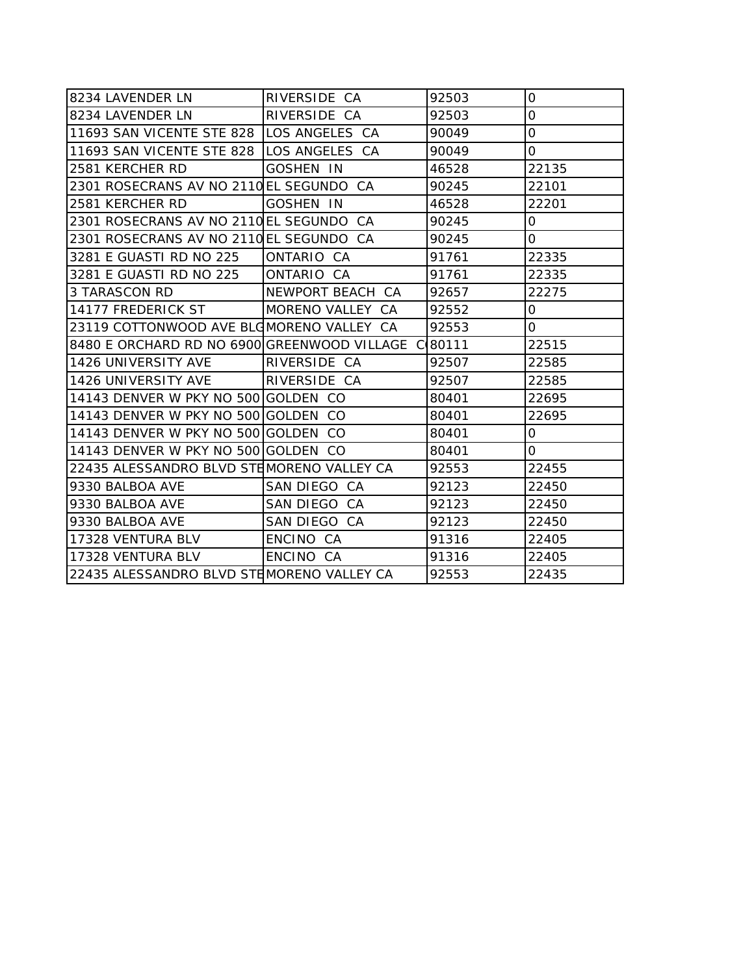| 8234 LAVENDER LN                                    | RIVERSIDE CA      | 92503 | 0              |
|-----------------------------------------------------|-------------------|-------|----------------|
| 8234 LAVENDER LN                                    | RIVERSIDE CA      | 92503 | $\overline{O}$ |
| 11693 SAN VICENTE STE 828 LOS ANGELES CA            |                   | 90049 | $\overline{O}$ |
| 11693 SAN VICENTE STE 828 ILOS ANGELES CA           |                   | 90049 | 0              |
| 2581 KERCHER RD                                     | <b>GOSHEN IN</b>  | 46528 | 22135          |
| 2301 ROSECRANS AV NO 2110 EL SEGUNDO CA             |                   | 90245 | 22101          |
| 2581 KERCHER RD                                     | <b>GOSHEN IN</b>  | 46528 | 22201          |
| 2301 ROSECRANS AV NO 2110 EL SEGUNDO CA             |                   | 90245 | $\overline{O}$ |
| 2301 ROSECRANS AV NO 2110 EL SEGUNDO CA             |                   | 90245 | 0              |
| 3281 E GUASTI RD NO 225                             | <b>ONTARIO CA</b> | 91761 | 22335          |
| 3281 E GUASTI RD NO 225                             | ONTARIO CA        | 91761 | 22335          |
| 3 TARASCON RD                                       | NEWPORT BEACH CA  | 92657 | 22275          |
| 14177 FREDERICK ST                                  | MORENO VALLEY CA  | 92552 | 0              |
| 23119 COTTONWOOD AVE BLOMORENO VALLEY CA            |                   | 92553 | $\overline{O}$ |
| 8480 E ORCHARD RD NO 6900 GREENWOOD VILLAGE C 80111 |                   |       | 22515          |
| 1426 UNIVERSITY AVE                                 | RIVERSIDE CA      | 92507 | 22585          |
| 1426 UNIVERSITY AVE                                 | RIVERSIDE CA      | 92507 | 22585          |
| 14143 DENVER W PKY NO 500 GOLDEN CO                 |                   | 80401 | 22695          |
| 14143 DENVER W PKY NO 500 GOLDEN CO                 |                   | 80401 | 22695          |
| 14143 DENVER W PKY NO 500 GOLDEN CO                 |                   | 80401 | 0              |
| 14143 DENVER W PKY NO 500 GOLDEN CO                 |                   | 80401 | 0              |
| 22435 ALESSANDRO BLVD STEMORENO VALLEY CA           |                   | 92553 | 22455          |
| 9330 BALBOA AVE                                     | SAN DIEGO CA      | 92123 | 22450          |
| 9330 BALBOA AVE                                     | SAN DIEGO CA      | 92123 | 22450          |
| 9330 BALBOA AVE                                     | SAN DIEGO CA      | 92123 | 22450          |
| 17328 VENTURA BLV                                   | ENCINO CA         | 91316 | 22405          |
| 17328 VENTURA BLV                                   | ENCINO CA         | 91316 | 22405          |
| 22435 ALESSANDRO BLVD STEMORENO VALLEY CA           |                   | 92553 | 22435          |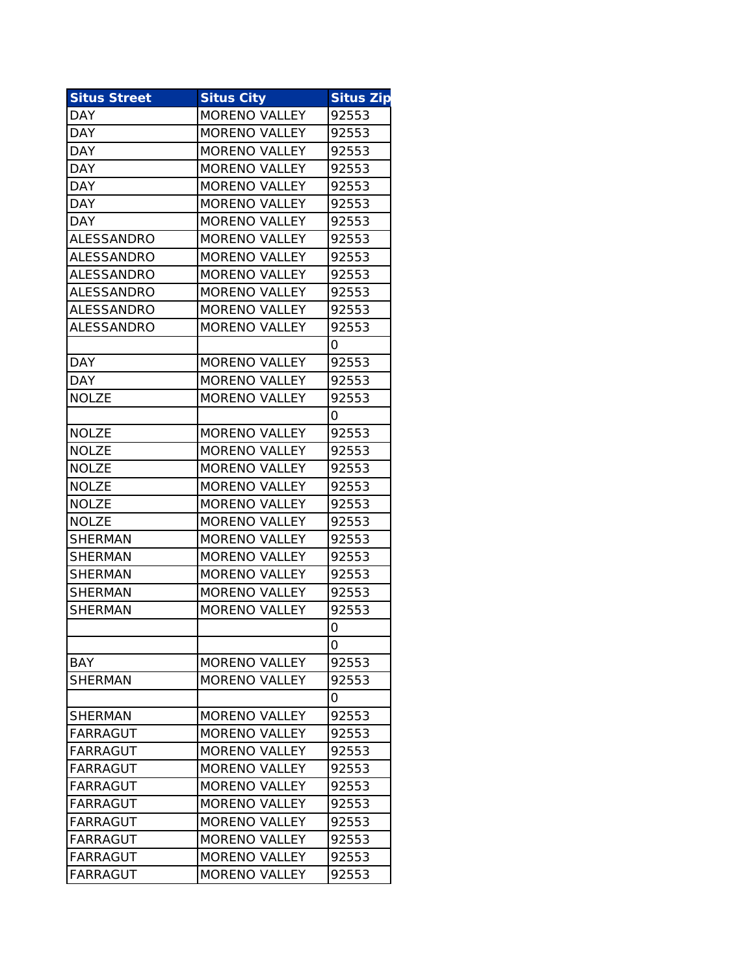| <b>Situs Street</b> | <b>Situs City</b>    | <b>Situs Zip</b> |
|---------------------|----------------------|------------------|
| <b>DAY</b>          | <b>MORENO VALLEY</b> | 92553            |
| <b>DAY</b>          | <b>MORENO VALLEY</b> | 92553            |
| <b>DAY</b>          | <b>MORENO VALLEY</b> | 92553            |
| <b>DAY</b>          | <b>MORENO VALLEY</b> | 92553            |
| DAY                 | <b>MORENO VALLEY</b> | 92553            |
| <b>DAY</b>          | <b>MORENO VALLEY</b> | 92553            |
| DAY                 | <b>MORENO VALLEY</b> | 92553            |
| ALESSANDRO          | <b>MORENO VALLEY</b> | 92553            |
| ALESSANDRO          | <b>MORENO VALLEY</b> | 92553            |
| ALESSANDRO          | <b>MORENO VALLEY</b> | 92553            |
| ALESSANDRO          | <b>MORENO VALLEY</b> | 92553            |
| ALESSANDRO          | <b>MORENO VALLEY</b> | 92553            |
| <b>ALESSANDRO</b>   | <b>MORENO VALLEY</b> | 92553            |
|                     |                      | O                |
| DAY                 | <b>MORENO VALLEY</b> | 92553            |
| DAY                 | MORENO VALLEY        | 92553            |
| <b>NOLZE</b>        | <b>MORENO VALLEY</b> | 92553            |
|                     |                      | 0                |
| <b>NOLZE</b>        | <b>MORENO VALLEY</b> | 92553            |
| <b>NOLZE</b>        | <b>MORENO VALLEY</b> | 92553            |
| <b>NOLZE</b>        | <b>MORENO VALLEY</b> | 92553            |
| <b>NOLZE</b>        | <b>MORENO VALLEY</b> | 92553            |
| <b>NOLZE</b>        | <b>MORENO VALLEY</b> | 92553            |
| <b>NOLZE</b>        | <b>MORENO VALLEY</b> | 92553            |
| SHERMAN             | <b>MORENO VALLEY</b> | 92553            |
| <b>SHERMAN</b>      | <b>MORENO VALLEY</b> | 92553            |
| <b>SHERMAN</b>      | <b>MORENO VALLEY</b> | 92553            |
| <b>SHERMAN</b>      | <b>MORENO VALLEY</b> | 92553            |
| <b>SHERMAN</b>      | <b>MORENO VALLEY</b> | 92553            |
|                     |                      | 0                |
|                     |                      | 0                |
| BAY                 | <b>MORENO VALLEY</b> | 92553            |
| <b>SHERMAN</b>      | <b>MORENO VALLEY</b> | 92553            |
|                     |                      | 0                |
| <b>SHERMAN</b>      | <b>MORENO VALLEY</b> | 92553            |
| FARRAGUT            | <b>MORENO VALLEY</b> | 92553            |
| <b>FARRAGUT</b>     | <b>MORENO VALLEY</b> | 92553            |
| FARRAGUT            | <b>MORENO VALLEY</b> | 92553            |
| FARRAGUT            | <b>MORENO VALLEY</b> | 92553            |
| FARRAGUT            | <b>MORENO VALLEY</b> | 92553            |
| <b>FARRAGUT</b>     | <b>MORENO VALLEY</b> | 92553            |
| <b>FARRAGUT</b>     | <b>MORENO VALLEY</b> | 92553            |
| FARRAGUT            | <b>MORENO VALLEY</b> | 92553            |
| FARRAGUT            | <b>MORENO VALLEY</b> | 92553            |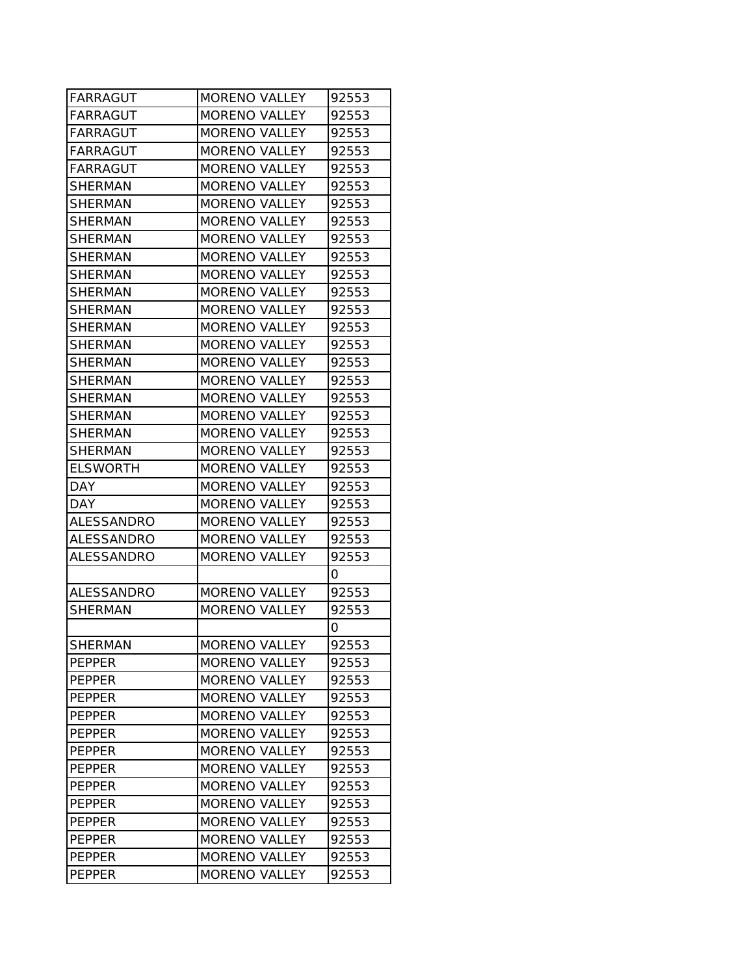| FARRAGUT        | MORENO VALLEY        | 92553 |
|-----------------|----------------------|-------|
| FARRAGUT        | <b>MORENO VALLEY</b> | 92553 |
| FARRAGUT        | <b>MORENO VALLEY</b> | 92553 |
| FARRAGUT        | <b>MORENO VALLEY</b> | 92553 |
| FARRAGUT        | <b>MORENO VALLEY</b> | 92553 |
| <b>SHERMAN</b>  | <b>MORENO VALLEY</b> | 92553 |
| SHERMAN         | <b>MORENO VALLEY</b> | 92553 |
| SHERMAN         | <b>MORENO VALLEY</b> | 92553 |
| <b>SHERMAN</b>  | <b>MORENO VALLEY</b> | 92553 |
| SHERMAN         | <b>MORENO VALLEY</b> | 92553 |
| <b>SHERMAN</b>  | <b>MORENO VALLEY</b> | 92553 |
| SHERMAN         | <b>MORENO VALLEY</b> | 92553 |
| SHERMAN         | <b>MORENO VALLEY</b> | 92553 |
| <b>SHERMAN</b>  | <b>MORENO VALLEY</b> | 92553 |
| <b>SHERMAN</b>  | <b>MORENO VALLEY</b> | 92553 |
| <b>SHERMAN</b>  | <b>MORENO VALLEY</b> | 92553 |
| <b>SHERMAN</b>  | MORENO VALLEY        | 92553 |
| <b>SHERMAN</b>  | <b>MORENO VALLEY</b> | 92553 |
| <b>SHERMAN</b>  | <b>MORENO VALLEY</b> | 92553 |
| SHERMAN         | <b>MORENO VALLEY</b> | 92553 |
| SHERMAN         | <b>MORENO VALLEY</b> | 92553 |
| <b>ELSWORTH</b> | <b>MORENO VALLEY</b> | 92553 |
| <b>DAY</b>      | <b>MORENO VALLEY</b> | 92553 |
| DAY             | <b>MORENO VALLEY</b> | 92553 |
| ALESSANDRO      | <b>MORENO VALLEY</b> | 92553 |
| ALESSANDRO      | <b>MORENO VALLEY</b> | 92553 |
| ALESSANDRO      | <b>MORENO VALLEY</b> | 92553 |
|                 |                      | 0     |
| ALESSANDRO      | <b>MORENO VALLEY</b> | 92553 |
| <b>SHERMAN</b>  | <b>MORENO VALLEY</b> | 92553 |
|                 |                      | 0     |
| <b>SHERMAN</b>  | <b>MORENO VALLEY</b> | 92553 |
| PEPPER          | <b>MORENO VALLEY</b> | 92553 |
| <b>IPEPPER</b>  | <b>MORENO VALLEY</b> | 92553 |
| PEPPER          | <b>MORENO VALLEY</b> | 92553 |
| PEPPER          | <b>MORENO VALLEY</b> | 92553 |
| <b>PEPPER</b>   | <b>MORENO VALLEY</b> | 92553 |
| PEPPER          | <b>MORENO VALLEY</b> | 92553 |
| <b>PEPPER</b>   | <b>MORENO VALLEY</b> | 92553 |
| <b>PEPPER</b>   | <b>MORENO VALLEY</b> | 92553 |
| PEPPER          | <b>MORENO VALLEY</b> | 92553 |
| <b>PEPPER</b>   | <b>MORENO VALLEY</b> | 92553 |
| PEPPER          | <b>MORENO VALLEY</b> | 92553 |
| PEPPER          | <b>MORENO VALLEY</b> | 92553 |
| <b>PEPPER</b>   | <b>MORENO VALLEY</b> | 92553 |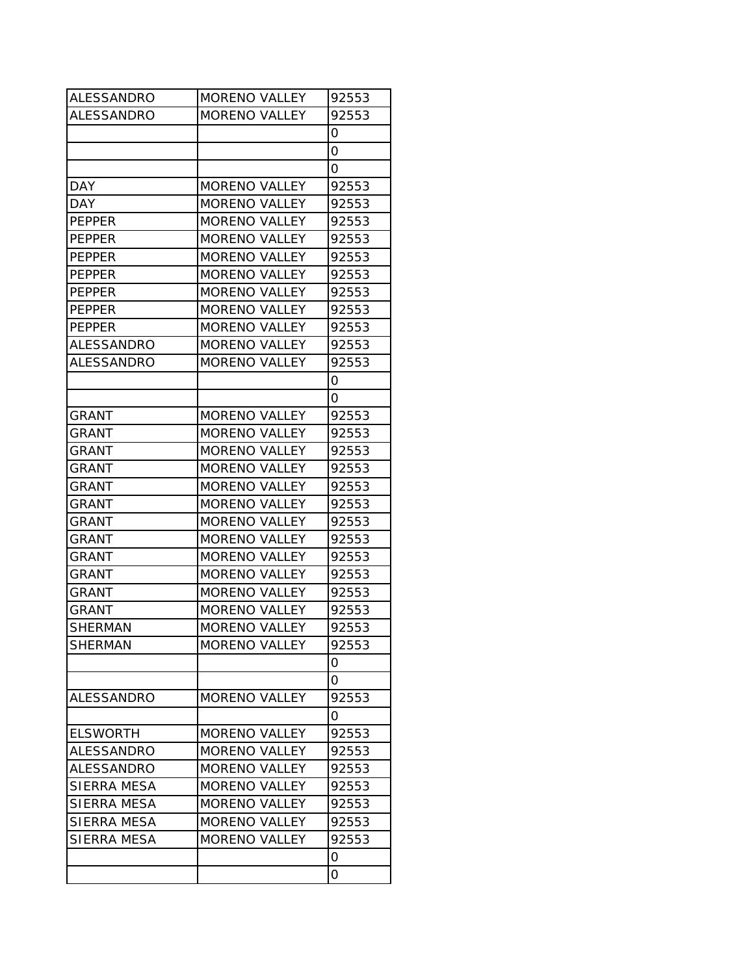| <b>ALESSANDRO</b>  | MORENO VALLEY        | 92553 |
|--------------------|----------------------|-------|
| ALESSANDRO         | <b>MORENO VALLEY</b> | 92553 |
|                    |                      | 0     |
|                    |                      | 0     |
|                    |                      | 0     |
| DAY                | <b>MORENO VALLEY</b> | 92553 |
| DAY                | <b>MORENO VALLEY</b> | 92553 |
| <b>PEPPER</b>      | <b>MORENO VALLEY</b> | 92553 |
| <b>PEPPER</b>      | <b>MORENO VALLEY</b> | 92553 |
| <b>PEPPER</b>      | <b>MORENO VALLEY</b> | 92553 |
| <b>PEPPER</b>      | <b>MORENO VALLEY</b> | 92553 |
| <b>PEPPER</b>      | <b>MORENO VALLEY</b> | 92553 |
| PEPPER             | <b>MORENO VALLEY</b> | 92553 |
| <b>PEPPER</b>      | MORENO VALLEY        | 92553 |
| ALESSANDRO         | <b>MORENO VALLEY</b> | 92553 |
| ALESSANDRO         | <b>MORENO VALLEY</b> | 92553 |
|                    |                      | 0     |
|                    |                      | 0     |
| GRANT              | <b>MORENO VALLEY</b> | 92553 |
| <b>GRANT</b>       | <b>MORENO VALLEY</b> | 92553 |
| GRANT              | <b>MORENO VALLEY</b> | 92553 |
| GRANT              | <b>MORENO VALLEY</b> | 92553 |
| GRANT              | <b>MORENO VALLEY</b> | 92553 |
| GRANT              | <b>MORENO VALLEY</b> | 92553 |
| GRANT              | <b>MORENO VALLEY</b> | 92553 |
| <b>GRANT</b>       | <b>MORENO VALLEY</b> | 92553 |
| GRANT              | <b>MORENO VALLEY</b> | 92553 |
| GRANT              | <b>MORENO VALLEY</b> | 92553 |
| GRANT              | <b>MORENO VALLEY</b> | 92553 |
| <b>GRANT</b>       | <b>MORENO VALLEY</b> | 92553 |
| <b>SHERMAN</b>     | <b>MORENO VALLEY</b> | 92553 |
| <b>SHERMAN</b>     | <b>MORENO VALLEY</b> | 92553 |
|                    |                      | 0     |
|                    |                      | 0     |
| ALESSANDRO         | <b>MORENO VALLEY</b> | 92553 |
|                    |                      | 0     |
| <b>ELSWORTH</b>    | <b>MORENO VALLEY</b> | 92553 |
| <b>ALESSANDRO</b>  | MORENO VALLEY        | 92553 |
| ALESSANDRO         | <b>MORENO VALLEY</b> | 92553 |
| <b>SIERRA MESA</b> | <b>MORENO VALLEY</b> | 92553 |
| <b>SIERRA MESA</b> | <b>MORENO VALLEY</b> | 92553 |
| SIERRA MESA        | <b>MORENO VALLEY</b> | 92553 |
| SIERRA MESA        | <b>MORENO VALLEY</b> | 92553 |
|                    |                      | 0     |
|                    |                      | 0     |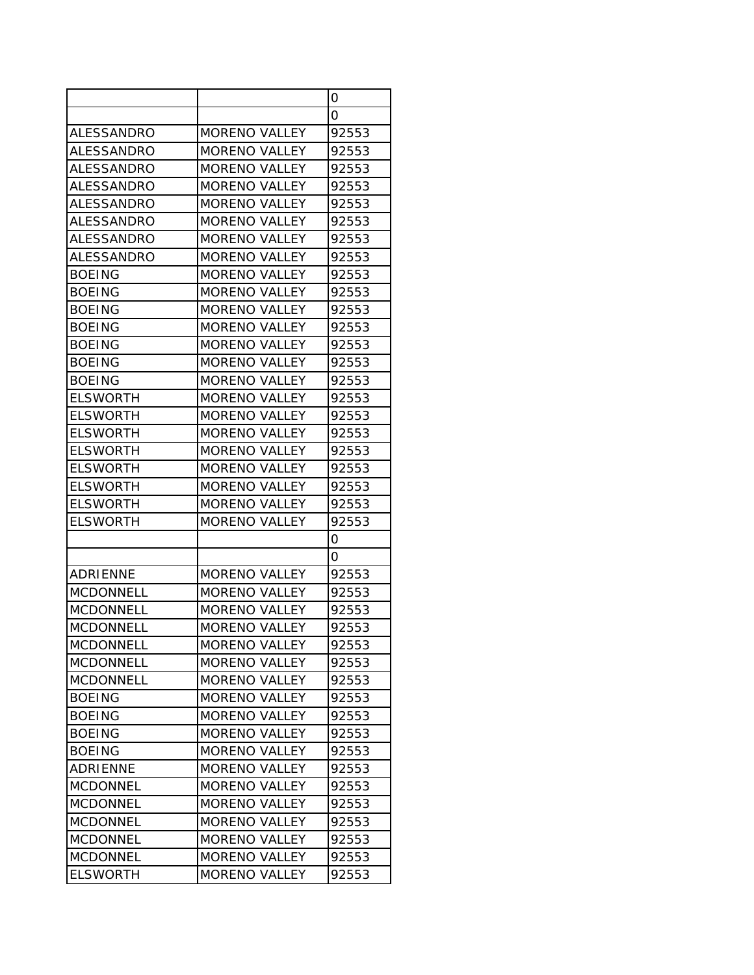|                   |                      | 0     |
|-------------------|----------------------|-------|
|                   |                      | Ο     |
| <b>ALESSANDRO</b> | <b>MORENO VALLEY</b> | 92553 |
| <b>ALESSANDRO</b> | <b>MORENO VALLEY</b> | 92553 |
| <b>ALESSANDRO</b> | MORENO VALLEY        | 92553 |
| ALESSANDRO        | <b>MORENO VALLEY</b> | 92553 |
| ALESSANDRO        | <b>MORENO VALLEY</b> | 92553 |
| ALESSANDRO        | <b>MORENO VALLEY</b> | 92553 |
| <b>ALESSANDRO</b> | <b>MORENO VALLEY</b> | 92553 |
| <b>ALESSANDRO</b> | <b>MORENO VALLEY</b> | 92553 |
| <b>BOEING</b>     | <b>MORENO VALLEY</b> | 92553 |
| <b>BOEING</b>     | <b>MORENO VALLEY</b> | 92553 |
| <b>BOEING</b>     | <b>MORENO VALLEY</b> | 92553 |
| <b>BOEING</b>     | <b>MORENO VALLEY</b> | 92553 |
| <b>BOEING</b>     | <b>MORENO VALLEY</b> | 92553 |
| <b>BOEING</b>     | <b>MORENO VALLEY</b> | 92553 |
| <b>BOEING</b>     | <b>MORENO VALLEY</b> | 92553 |
| <b>ELSWORTH</b>   | <b>MORENO VALLEY</b> | 92553 |
| <b>ELSWORTH</b>   | <b>MORENO VALLEY</b> | 92553 |
| <b>ELSWORTH</b>   | <b>MORENO VALLEY</b> | 92553 |
| <b>ELSWORTH</b>   | <b>MORENO VALLEY</b> | 92553 |
| <b>ELSWORTH</b>   | <b>MORENO VALLEY</b> | 92553 |
| <b>ELSWORTH</b>   | <b>MORENO VALLEY</b> | 92553 |
| <b>ELSWORTH</b>   | <b>MORENO VALLEY</b> | 92553 |
| <b>ELSWORTH</b>   | <b>MORENO VALLEY</b> | 92553 |
|                   |                      | Ο     |
|                   |                      | Ο     |
| <b>ADRIENNE</b>   | <b>MORENO VALLEY</b> | 92553 |
| <b>MCDONNELL</b>  | <b>MORENO VALLEY</b> | 92553 |
| <b>MCDONNELL</b>  | <b>MORENO VALLEY</b> | 92553 |
| <b>MCDONNELL</b>  | <b>MORENO VALLEY</b> | 92553 |
| <b>MCDONNELL</b>  | <b>MORENO VALLEY</b> | 92553 |
| <b>MCDONNELL</b>  | <b>MORENO VALLEY</b> | 92553 |
| <b>MCDONNELL</b>  | <b>MORENO VALLEY</b> | 92553 |
| <b>BOEING</b>     | <b>MORENO VALLEY</b> | 92553 |
| <b>BOEING</b>     | <b>MORENO VALLEY</b> | 92553 |
| <b>BOEING</b>     | <b>MORENO VALLEY</b> | 92553 |
| <b>BOEING</b>     | <b>MORENO VALLEY</b> | 92553 |
| ADRIENNE          | <b>MORENO VALLEY</b> | 92553 |
| <b>MCDONNEL</b>   | <b>MORENO VALLEY</b> | 92553 |
| <b>MCDONNEL</b>   | <b>MORENO VALLEY</b> | 92553 |
| <b>MCDONNEL</b>   | <b>MORENO VALLEY</b> | 92553 |
| <b>MCDONNEL</b>   | <b>MORENO VALLEY</b> | 92553 |
| <b>MCDONNEL</b>   | <b>MORENO VALLEY</b> | 92553 |
| <b>ELSWORTH</b>   | <b>MORENO VALLEY</b> | 92553 |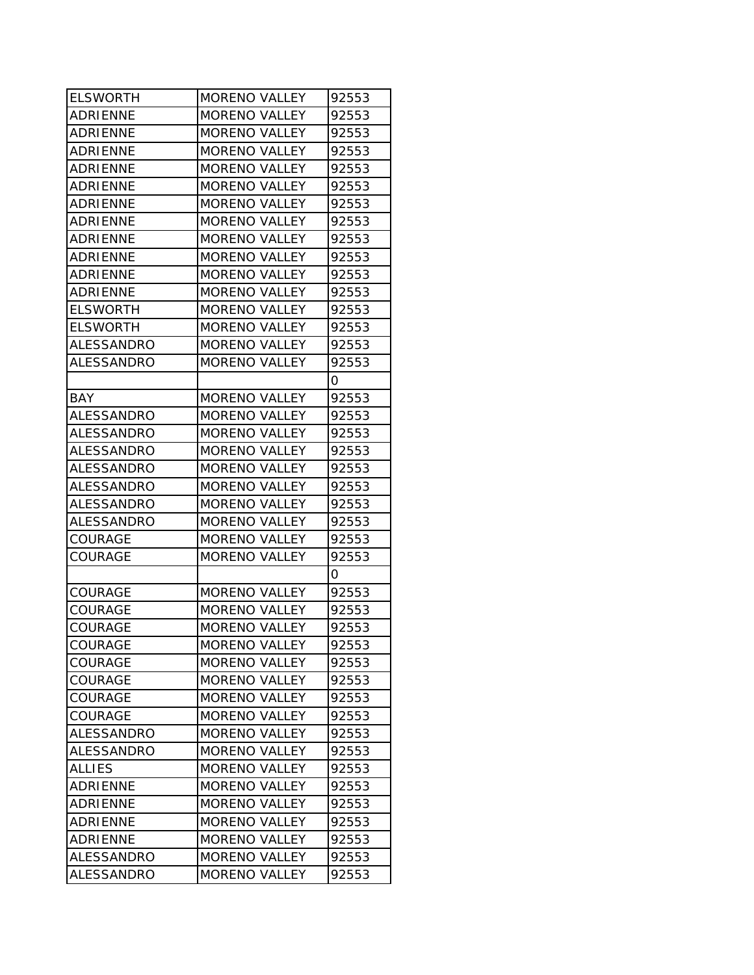| <b>ELSWORTH</b>   | MORENO VALLEY        | 92553 |
|-------------------|----------------------|-------|
| ADRIENNE          | <b>MORENO VALLEY</b> | 92553 |
| <b>ADRIENNE</b>   | <b>MORENO VALLEY</b> | 92553 |
| <b>ADRIENNE</b>   | <b>MORENO VALLEY</b> | 92553 |
| ADRIENNE          | <b>MORENO VALLEY</b> | 92553 |
| <b>ADRIENNE</b>   | <b>MORENO VALLEY</b> | 92553 |
| <b>ADRIENNE</b>   | <b>MORENO VALLEY</b> | 92553 |
| <b>ADRIENNE</b>   | <b>MORENO VALLEY</b> | 92553 |
| <b>ADRIENNE</b>   | <b>MORENO VALLEY</b> | 92553 |
| ADRIENNE          | <b>MORENO VALLEY</b> | 92553 |
| ADRIENNE          | <b>MORENO VALLEY</b> | 92553 |
| <b>ADRIENNE</b>   | <b>MORENO VALLEY</b> | 92553 |
| <b>ELSWORTH</b>   | <b>MORENO VALLEY</b> | 92553 |
| <b>ELSWORTH</b>   | <b>MORENO VALLEY</b> | 92553 |
| ALESSANDRO        | <b>MORENO VALLEY</b> | 92553 |
| ALESSANDRO        | <b>MORENO VALLEY</b> | 92553 |
|                   |                      | 0     |
| <b>BAY</b>        | <b>MORENO VALLEY</b> | 92553 |
| ALESSANDRO        | <b>MORENO VALLEY</b> | 92553 |
| ALESSANDRO        | <b>MORENO VALLEY</b> | 92553 |
| <b>ALESSANDRO</b> | <b>MORENO VALLEY</b> | 92553 |
| ALESSANDRO        | <b>MORENO VALLEY</b> | 92553 |
| ALESSANDRO        | <b>MORENO VALLEY</b> | 92553 |
| <b>ALESSANDRO</b> | <b>MORENO VALLEY</b> | 92553 |
| <b>ALESSANDRO</b> | <b>MORENO VALLEY</b> | 92553 |
| COURAGE           | <b>MORENO VALLEY</b> | 92553 |
| COURAGE           | <b>MORENO VALLEY</b> | 92553 |
|                   |                      | Ο     |
| <b>COURAGE</b>    | <b>MORENO VALLEY</b> | 92553 |
| COURAGE           | <b>MORENO VALLEY</b> | 92553 |
| <b>COURAGE</b>    | <b>MORENO VALLEY</b> | 92553 |
| <b>COURAGE</b>    | <b>MORENO VALLEY</b> | 92553 |
| <b>COURAGE</b>    | <b>MORENO VALLEY</b> | 92553 |
| <b>COURAGE</b>    | <b>MORENO VALLEY</b> | 92553 |
| <b>COURAGE</b>    | <b>MORENO VALLEY</b> | 92553 |
| <b>COURAGE</b>    | <b>MORENO VALLEY</b> | 92553 |
| ALESSANDRO        | <b>MORENO VALLEY</b> | 92553 |
| ALESSANDRO        | <b>MORENO VALLEY</b> | 92553 |
| <b>ALLIES</b>     | <b>MORENO VALLEY</b> | 92553 |
| ADRIENNE          | <b>MORENO VALLEY</b> | 92553 |
| <b>ADRIENNE</b>   | MORENO VALLEY        | 92553 |
| ADRIENNE          | <b>MORENO VALLEY</b> | 92553 |
| ADRIENNE          | <b>MORENO VALLEY</b> | 92553 |
| <b>ALESSANDRO</b> | <b>MORENO VALLEY</b> | 92553 |
| ALESSANDRO        | MORENO VALLEY        | 92553 |